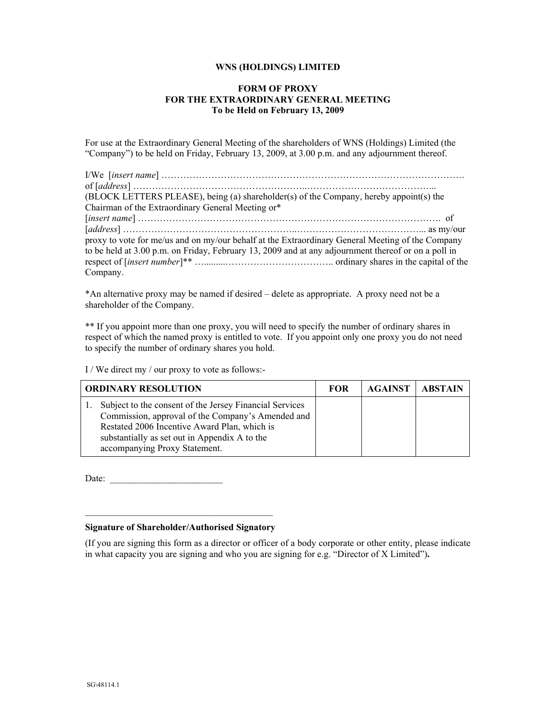## **WNS (HOLDINGS) LIMITED**

## **FORM OF PROXY FOR THE EXTRAORDINARY GENERAL MEETING To be Held on February 13, 2009**

For use at the Extraordinary General Meeting of the shareholders of WNS (Holdings) Limited (the "Company") to be held on Friday, February 13, 2009, at 3.00 p.m. and any adjournment thereof.

| (BLOCK LETTERS PLEASE), being (a) shareholder(s) of the Company, hereby appoint(s) the              |
|-----------------------------------------------------------------------------------------------------|
| Chairman of the Extraordinary General Meeting or*                                                   |
|                                                                                                     |
|                                                                                                     |
| proxy to vote for me/us and on my/our behalf at the Extraordinary General Meeting of the Company    |
| to be held at 3.00 p.m. on Friday, February 13, 2009 and at any adjournment thereof or on a poll in |
|                                                                                                     |
| Company.                                                                                            |

\*An alternative proxy may be named if desired – delete as appropriate. A proxy need not be a shareholder of the Company.

\*\* If you appoint more than one proxy, you will need to specify the number of ordinary shares in respect of which the named proxy is entitled to vote. If you appoint only one proxy you do not need to specify the number of ordinary shares you hold.

I / We direct my / our proxy to vote as follows:-

| <b>ORDINARY RESOLUTION</b>                                                                                                                                                                                                                     | <b>FOR</b> | <b>AGAINST</b> | <b>ABSTAIN</b> |
|------------------------------------------------------------------------------------------------------------------------------------------------------------------------------------------------------------------------------------------------|------------|----------------|----------------|
| Subject to the consent of the Jersey Financial Services<br>Commission, approval of the Company's Amended and<br>Restated 2006 Incentive Award Plan, which is<br>substantially as set out in Appendix A to the<br>accompanying Proxy Statement. |            |                |                |

Date:

## $\overline{\phantom{a}}$  , and the set of the set of the set of the set of the set of the set of the set of the set of the set of the set of the set of the set of the set of the set of the set of the set of the set of the set of the s **Signature of Shareholder/Authorised Signatory**

(If you are signing this form as a director or officer of a body corporate or other entity, please indicate in what capacity you are signing and who you are signing for e.g. "Director of X Limited")**.**